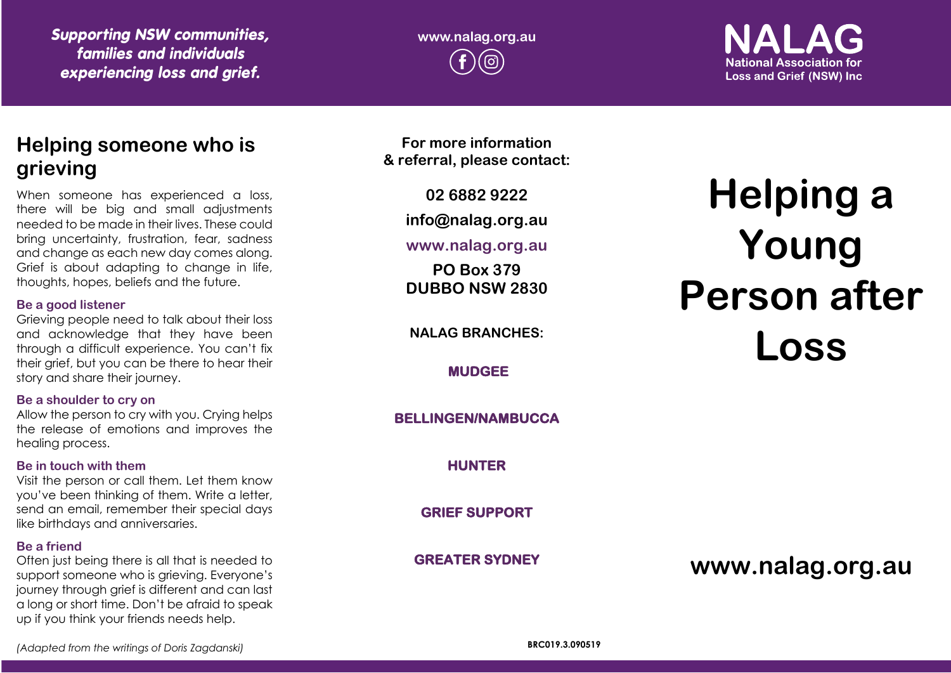*Supporting NSW communities, families and individuals experiencing loss and grief.*

**www.nalag.org.au** ൫

**National Association for Loss and Grief (NSW) Inc.** 

## **Helping someone who is grieving**

When someone has experienced a loss, there will be big and small adjustments needed to be made in their lives. These could bring uncertainty, frustration, fear, sadness and change as each new day comes along. Grief is about adapting to change in life, thoughts, hopes, beliefs and the future.

#### **Be a good listener**

Grieving people need to talk about their loss and acknowledge that they have been through a difficult experience. You can't fix their grief, but you can be there to hear their story and share their journey.

#### **Be a shoulder to cry on**

Allow the person to cry with you. Crying helps the release of emotions and improves the healing process.

#### **Be in touch with them**

Visit the person or call them. Let them know you've been thinking of them. Write a letter, send an email, remember their special days like birthdays and anniversaries.

#### **Be a friend**

Often just being there is all that is needed to support someone who is grieving. Everyone's journey through grief is different and can last a long or short time. Don't be afraid to speak up if you think your friends needs help.

**For more information & referral, please contact:**

**02 6882 9222**

**info@nalag.org.au**

## **www.nalag.org.au**

**PO Box 379 DUBBO NSW 2830**

**NALAG BRANCHES:**

**MUDGEE** 

**BELLINGEN/NAMBUCCA** 

**HUNTER** 

**GRIEF SUPPORT** 

**GREATER SYDNEY** 

# **Helping a Young Person after Loss**

**www.nalag.org.au**